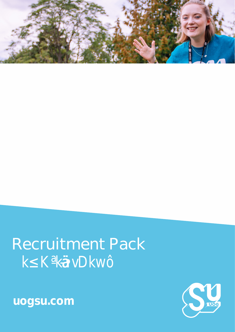# **Recruitment Pack**  $k^2$  **K**  $kN$



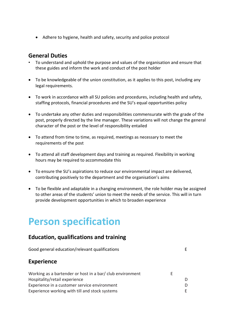• Adhere to hygiene, health and safety, security and police protocol

## **General Duties**

- To understand and uphold the purpose and values of the organisation and ensure that these guides and inform the work and conduct of the post holder
- To be knowledgeable of the union constitution, as it applies to this post, including any legal requirements.
- To work in accordance with all SU policies and procedures, including health and safety, staffing protocols, financial procedures and the SU's equal opportunities policy
- To undertake any other duties and responsibilities commensurate with the grade of the post, properly directed by the line manager. These variations will not change the general character of the post or the level of responsibility entailed
- To attend from time to time, as required, meetings as necessary to meet the requirements of the post
- To attend all staff development days and training as required. Flexibility in working hours may be required to accommodate this
- To ensure the SU's aspirations to reduce our environmental impact are delivered, contributing positively to the department and the organisation's aims
- To be flexible and adaptable in a changing environment, the role holder may be assigned to other areas of the students' union to meet the needs of the service. This will in turn provide development opportunities in which to broaden experience

# **Person specification**

# **Education, qualifications and training**

| Good general education/relevant qualifications            |   |   |
|-----------------------------------------------------------|---|---|
| <b>Experience</b>                                         |   |   |
| Working as a bartender or host in a bar/ club environment | E |   |
| Hospitality/retail experience                             |   | D |
| Experience in a customer service environment              |   | D |
| Experience working with till and stock systems            |   | F |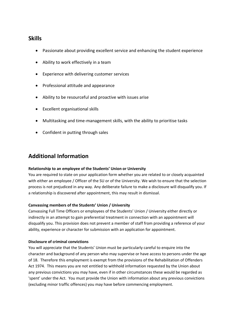### **Skills**

- Passionate about providing excellent service and enhancing the student experience
- Ability to work effectively in a team
- Experience with delivering customer services
- Professional attitude and appearance
- Ability to be resourceful and proactive with issues arise
- Excellent organisational skills
- Multitasking and time-management skills, with the ability to prioritise tasks
- Confident in putting through sales

# **Additional Information**

#### **Relationship to an employee of the Students' Union or University**

You are required to state on your application form whether you are related to or closely acquainted with either an employee / Officer of the SU or of the University. We wish to ensure that the selection process is not prejudiced in any way. Any deliberate failure to make a disclosure will disqualify you. If a relationship is discovered after appointment, this may result in dismissal.

#### **Canvassing members of the Students' Union / University**

Canvassing Full Time Officers or employees of the Students' Union / University either directly or indirectly in an attempt to gain preferential treatment in connection with an appointment will disqualify you. This provision does not prevent a member of staff from providing a reference of your ability, experience or character for submission with an application for appointment.

#### **Disclosure of criminal convictions**

You will appreciate that the Students' Union must be particularly careful to enquire into the character and background of any person who may supervise or have access to persons under the age of 18. Therefore this employment is exempt from the provisions of the Rehabilitation of Offenders Act 1974. This means you are not entitled to withhold information requested by the Union about any previous convictions you may have, even if in other circumstances these would be regarded as 'spent' under the Act. You must provide the Union with information about any previous convictions (excluding minor traffic offences) you may have before commencing employment.